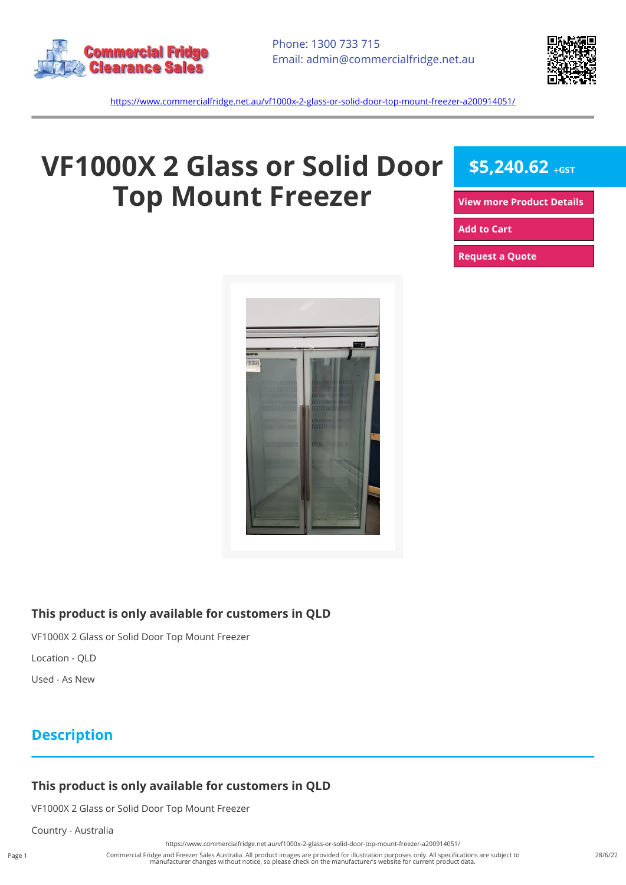



<https://www.commercialfridge.net.au/vf1000x-2-glass-or-solid-door-top-mount-freezer-a200914051/>

# **VF1000X 2 Glass or Solid Door Top Mount Freezer**

**\$5,240.62 +GST**

**[View more Product Details](https://www.commercialfridge.net.au/vf1000x-2-glass-or-solid-door-top-mount-freezer-a200914051/)**

**[Add to Cart](https://www.commercialfridge.net.au/vf1000x-2-glass-or-solid-door-top-mount-freezer-a200914051/?addtocart=1)** 

**[Request a Quote](https://www.commercialfridge.net.au/vf1000x-2-glass-or-solid-door-top-mount-freezer-a200914051/?requestaquote=1)** 



#### **This product is only available for customers in QLD**

VF1000X 2 Glass or Solid Door Top Mount Freezer

Location - QLD

Used - As New

### **Description**

#### **This product is only available for customers in QLD**

VF1000X 2 Glass or Solid Door Top Mount Freezer

Country - Australia

<https://www.commercialfridge.net.au/vf1000x-2-glass-or-solid-door-top-mount-freezer-a200914051/>

Commercial Fridge and Freezer Sales Australia. All product images are provided for illustration purposes only. All specifications are subject to manufacturer changes without notice, so please check on the manufacturer's website for current product data.